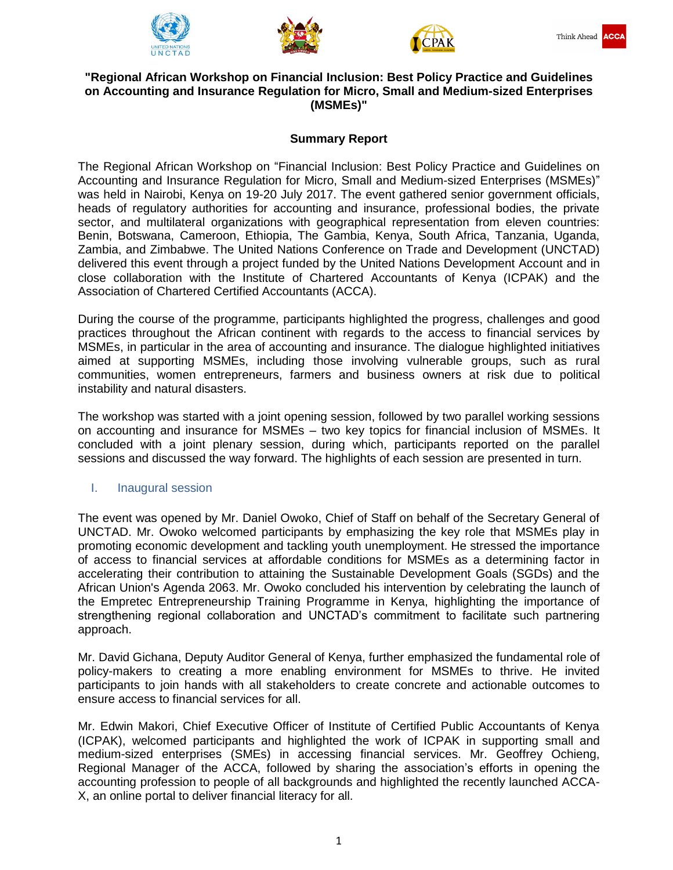





# **"Regional African Workshop on Financial Inclusion: Best Policy Practice and Guidelines on Accounting and Insurance Regulation for Micro, Small and Medium-sized Enterprises (MSMEs)"**

# **Summary Report**

The Regional African Workshop on "Financial Inclusion: Best Policy Practice and Guidelines on Accounting and Insurance Regulation for Micro, Small and Medium-sized Enterprises (MSMEs)" was held in Nairobi, Kenya on 19-20 July 2017. The event gathered senior government officials, heads of regulatory authorities for accounting and insurance, professional bodies, the private sector, and multilateral organizations with geographical representation from eleven countries: Benin, Botswana, Cameroon, Ethiopia, The Gambia, Kenya, South Africa, Tanzania, Uganda, Zambia, and Zimbabwe. The United Nations Conference on Trade and Development (UNCTAD) delivered this event through a project funded by the United Nations Development Account and in close collaboration with the Institute of Chartered Accountants of Kenya (ICPAK) and the Association of Chartered Certified Accountants (ACCA).

During the course of the programme, participants highlighted the progress, challenges and good practices throughout the African continent with regards to the access to financial services by MSMEs, in particular in the area of accounting and insurance. The dialogue highlighted initiatives aimed at supporting MSMEs, including those involving vulnerable groups, such as rural communities, women entrepreneurs, farmers and business owners at risk due to political instability and natural disasters.

The workshop was started with a joint opening session, followed by two parallel working sessions on accounting and insurance for MSMEs – two key topics for financial inclusion of MSMEs. It concluded with a joint plenary session, during which, participants reported on the parallel sessions and discussed the way forward. The highlights of each session are presented in turn.

## I. Inaugural session

The event was opened by Mr. Daniel Owoko, Chief of Staff on behalf of the Secretary General of UNCTAD. Mr. Owoko welcomed participants by emphasizing the key role that MSMEs play in promoting economic development and tackling youth unemployment. He stressed the importance of access to financial services at affordable conditions for MSMEs as a determining factor in accelerating their contribution to attaining the Sustainable Development Goals (SGDs) and the African Union's Agenda 2063. Mr. Owoko concluded his intervention by celebrating the launch of the Empretec Entrepreneurship Training Programme in Kenya, highlighting the importance of strengthening regional collaboration and UNCTAD's commitment to facilitate such partnering approach.

Mr. David Gichana, Deputy Auditor General of Kenya, further emphasized the fundamental role of policy-makers to creating a more enabling environment for MSMEs to thrive. He invited participants to join hands with all stakeholders to create concrete and actionable outcomes to ensure access to financial services for all.

Mr. Edwin Makori, Chief Executive Officer of Institute of Certified Public Accountants of Kenya (ICPAK), welcomed participants and highlighted the work of ICPAK in supporting small and medium-sized enterprises (SMEs) in accessing financial services. Mr. Geoffrey Ochieng, Regional Manager of the ACCA, followed by sharing the association's efforts in opening the accounting profession to people of all backgrounds and highlighted the recently launched ACCA-X, an online portal to deliver financial literacy for all.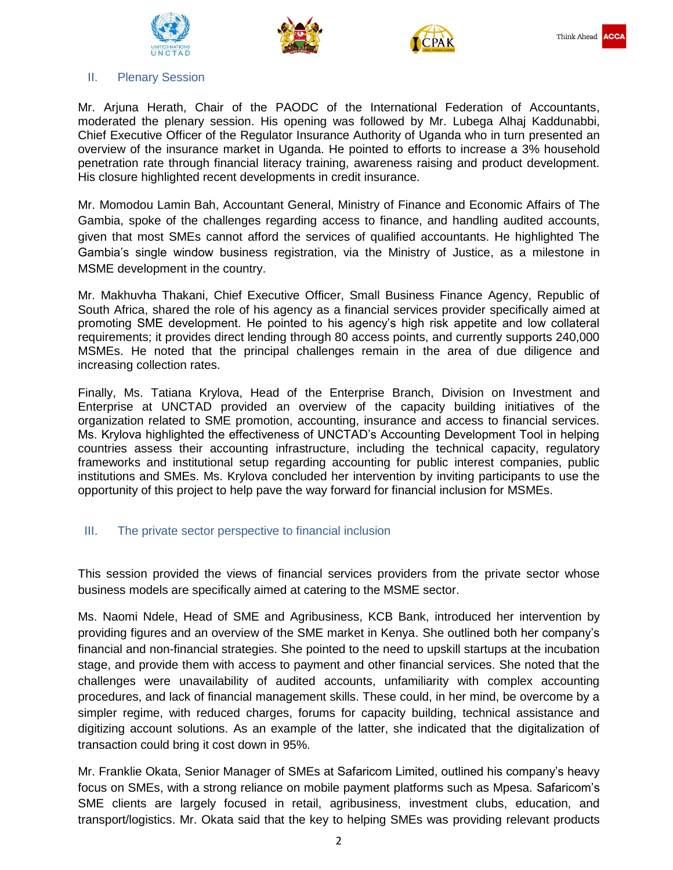





#### II. Plenary Session

Mr. Arjuna Herath, Chair of the PAODC of the International Federation of Accountants, moderated the plenary session. His opening was followed by Mr. Lubega Alhaj Kaddunabbi, Chief Executive Officer of the Regulator Insurance Authority of Uganda who in turn presented an overview of the insurance market in Uganda. He pointed to efforts to increase a 3% household penetration rate through financial literacy training, awareness raising and product development. His closure highlighted recent developments in credit insurance.

Mr. Momodou Lamin Bah, Accountant General, Ministry of Finance and Economic Affairs of The Gambia, spoke of the challenges regarding access to finance, and handling audited accounts, given that most SMEs cannot afford the services of qualified accountants. He highlighted The Gambia's single window business registration, via the Ministry of Justice, as a milestone in MSME development in the country.

Mr. Makhuvha Thakani, Chief Executive Officer, Small Business Finance Agency, Republic of South Africa, shared the role of his agency as a financial services provider specifically aimed at promoting SME development. He pointed to his agency's high risk appetite and low collateral requirements; it provides direct lending through 80 access points, and currently supports 240,000 MSMEs. He noted that the principal challenges remain in the area of due diligence and increasing collection rates.

Finally, Ms. Tatiana Krylova, Head of the Enterprise Branch, Division on Investment and Enterprise at UNCTAD provided an overview of the capacity building initiatives of the organization related to SME promotion, accounting, insurance and access to financial services. Ms. Krylova highlighted the effectiveness of UNCTAD's Accounting Development Tool in helping countries assess their accounting infrastructure, including the technical capacity, regulatory frameworks and institutional setup regarding accounting for public interest companies, public institutions and SMEs. Ms. Krylova concluded her intervention by inviting participants to use the opportunity of this project to help pave the way forward for financial inclusion for MSMEs.

## III. The private sector perspective to financial inclusion

This session provided the views of financial services providers from the private sector whose business models are specifically aimed at catering to the MSME sector.

Ms. Naomi Ndele, Head of SME and Agribusiness, KCB Bank, introduced her intervention by providing figures and an overview of the SME market in Kenya. She outlined both her company's financial and non-financial strategies. She pointed to the need to upskill startups at the incubation stage, and provide them with access to payment and other financial services. She noted that the challenges were unavailability of audited accounts, unfamiliarity with complex accounting procedures, and lack of financial management skills. These could, in her mind, be overcome by a simpler regime, with reduced charges, forums for capacity building, technical assistance and digitizing account solutions. As an example of the latter, she indicated that the digitalization of transaction could bring it cost down in 95%.

Mr. Franklie Okata, Senior Manager of SMEs at Safaricom Limited, outlined his company's heavy focus on SMEs, with a strong reliance on mobile payment platforms such as Mpesa. Safaricom's SME clients are largely focused in retail, agribusiness, investment clubs, education, and transport/logistics. Mr. Okata said that the key to helping SMEs was providing relevant products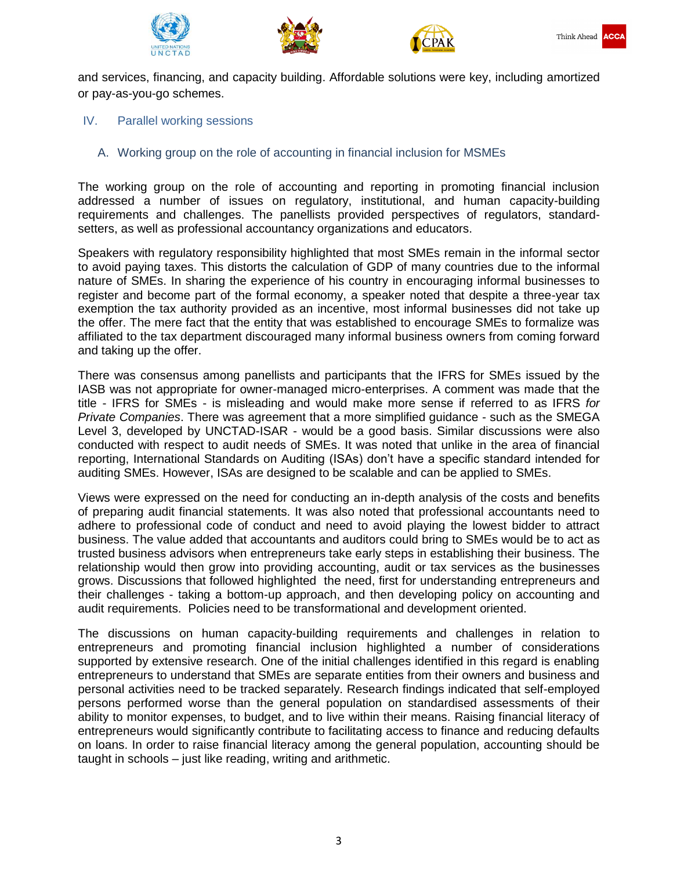





and services, financing, and capacity building. Affordable solutions were key, including amortized or pay-as-you-go schemes.

#### IV. Parallel working sessions

A. Working group on the role of accounting in financial inclusion for MSMEs

The working group on the role of accounting and reporting in promoting financial inclusion addressed a number of issues on regulatory, institutional, and human capacity-building requirements and challenges. The panellists provided perspectives of regulators, standardsetters, as well as professional accountancy organizations and educators.

Speakers with regulatory responsibility highlighted that most SMEs remain in the informal sector to avoid paying taxes. This distorts the calculation of GDP of many countries due to the informal nature of SMEs. In sharing the experience of his country in encouraging informal businesses to register and become part of the formal economy, a speaker noted that despite a three-year tax exemption the tax authority provided as an incentive, most informal businesses did not take up the offer. The mere fact that the entity that was established to encourage SMEs to formalize was affiliated to the tax department discouraged many informal business owners from coming forward and taking up the offer.

There was consensus among panellists and participants that the IFRS for SMEs issued by the IASB was not appropriate for owner-managed micro-enterprises. A comment was made that the title - IFRS for SMEs - is misleading and would make more sense if referred to as IFRS *for Private Companies*. There was agreement that a more simplified guidance - such as the SMEGA Level 3, developed by UNCTAD-ISAR - would be a good basis. Similar discussions were also conducted with respect to audit needs of SMEs. It was noted that unlike in the area of financial reporting, International Standards on Auditing (ISAs) don't have a specific standard intended for auditing SMEs. However, ISAs are designed to be scalable and can be applied to SMEs.

Views were expressed on the need for conducting an in-depth analysis of the costs and benefits of preparing audit financial statements. It was also noted that professional accountants need to adhere to professional code of conduct and need to avoid playing the lowest bidder to attract business. The value added that accountants and auditors could bring to SMEs would be to act as trusted business advisors when entrepreneurs take early steps in establishing their business. The relationship would then grow into providing accounting, audit or tax services as the businesses grows. Discussions that followed highlighted the need, first for understanding entrepreneurs and their challenges - taking a bottom-up approach, and then developing policy on accounting and audit requirements. Policies need to be transformational and development oriented.

The discussions on human capacity-building requirements and challenges in relation to entrepreneurs and promoting financial inclusion highlighted a number of considerations supported by extensive research. One of the initial challenges identified in this regard is enabling entrepreneurs to understand that SMEs are separate entities from their owners and business and personal activities need to be tracked separately. Research findings indicated that self-employed persons performed worse than the general population on standardised assessments of their ability to monitor expenses, to budget, and to live within their means. Raising financial literacy of entrepreneurs would significantly contribute to facilitating access to finance and reducing defaults on loans. In order to raise financial literacy among the general population, accounting should be taught in schools – just like reading, writing and arithmetic.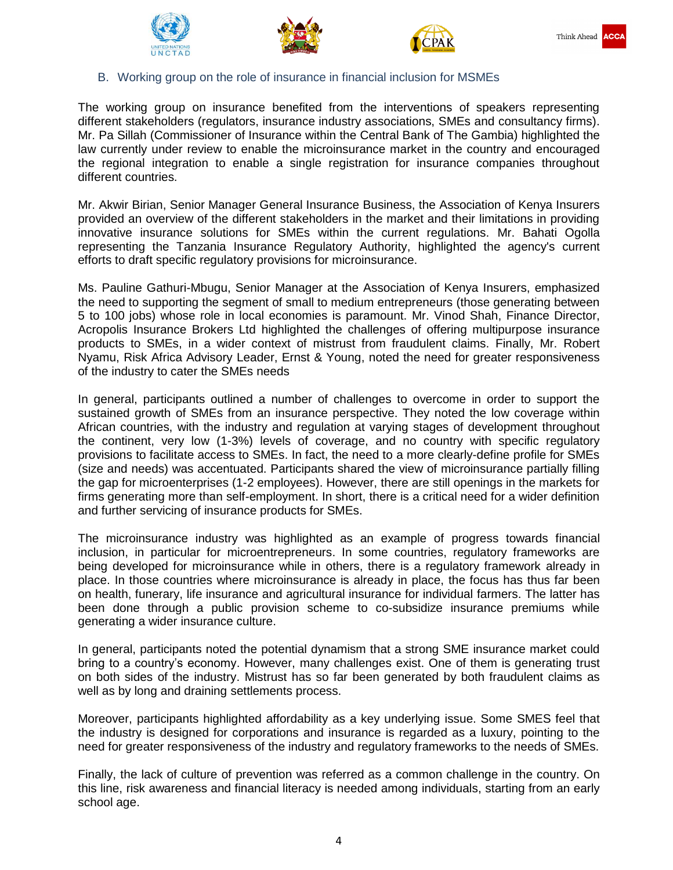





#### B. Working group on the role of insurance in financial inclusion for MSMEs

The working group on insurance benefited from the interventions of speakers representing different stakeholders (regulators, insurance industry associations, SMEs and consultancy firms). Mr. Pa Sillah (Commissioner of Insurance within the Central Bank of The Gambia) highlighted the law currently under review to enable the microinsurance market in the country and encouraged the regional integration to enable a single registration for insurance companies throughout different countries.

Mr. Akwir Birian, Senior Manager General Insurance Business, the Association of Kenya Insurers provided an overview of the different stakeholders in the market and their limitations in providing innovative insurance solutions for SMEs within the current regulations. Mr. Bahati Ogolla representing the Tanzania Insurance Regulatory Authority, highlighted the agency's current efforts to draft specific regulatory provisions for microinsurance.

Ms. Pauline Gathuri-Mbugu, Senior Manager at the Association of Kenya Insurers, emphasized the need to supporting the segment of small to medium entrepreneurs (those generating between 5 to 100 jobs) whose role in local economies is paramount. Mr. Vinod Shah, Finance Director, Acropolis Insurance Brokers Ltd highlighted the challenges of offering multipurpose insurance products to SMEs, in a wider context of mistrust from fraudulent claims. Finally, Mr. Robert Nyamu, Risk Africa Advisory Leader, Ernst & Young, noted the need for greater responsiveness of the industry to cater the SMEs needs

In general, participants outlined a number of challenges to overcome in order to support the sustained growth of SMEs from an insurance perspective. They noted the low coverage within African countries, with the industry and regulation at varying stages of development throughout the continent, very low (1-3%) levels of coverage, and no country with specific regulatory provisions to facilitate access to SMEs. In fact, the need to a more clearly-define profile for SMEs (size and needs) was accentuated. Participants shared the view of microinsurance partially filling the gap for microenterprises (1-2 employees). However, there are still openings in the markets for firms generating more than self-employment. In short, there is a critical need for a wider definition and further servicing of insurance products for SMEs.

The microinsurance industry was highlighted as an example of progress towards financial inclusion, in particular for microentrepreneurs. In some countries, regulatory frameworks are being developed for microinsurance while in others, there is a regulatory framework already in place. In those countries where microinsurance is already in place, the focus has thus far been on health, funerary, life insurance and agricultural insurance for individual farmers. The latter has been done through a public provision scheme to co-subsidize insurance premiums while generating a wider insurance culture.

In general, participants noted the potential dynamism that a strong SME insurance market could bring to a country's economy. However, many challenges exist. One of them is generating trust on both sides of the industry. Mistrust has so far been generated by both fraudulent claims as well as by long and draining settlements process.

Moreover, participants highlighted affordability as a key underlying issue. Some SMES feel that the industry is designed for corporations and insurance is regarded as a luxury, pointing to the need for greater responsiveness of the industry and regulatory frameworks to the needs of SMEs.

Finally, the lack of culture of prevention was referred as a common challenge in the country. On this line, risk awareness and financial literacy is needed among individuals, starting from an early school age.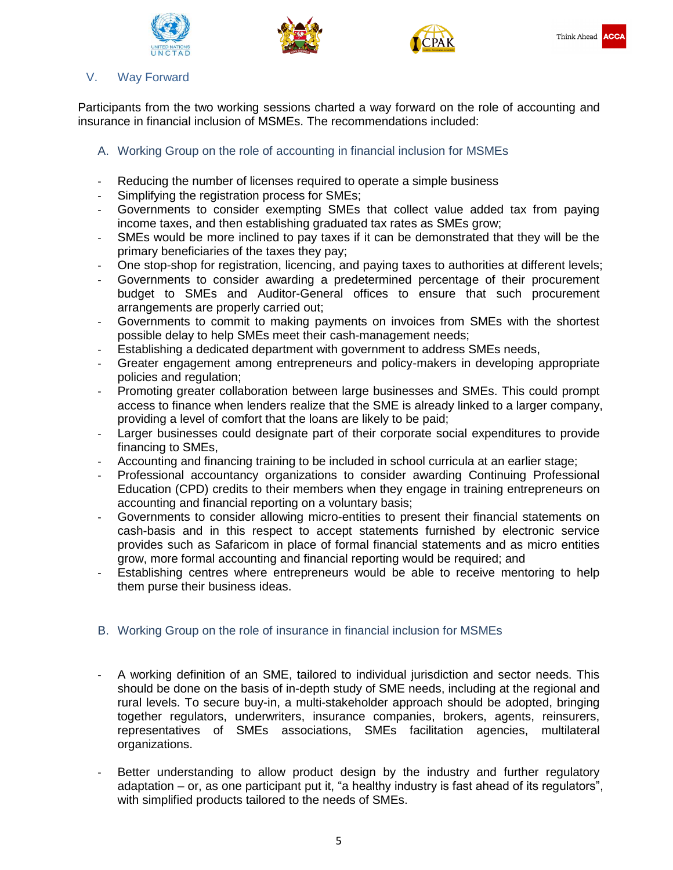





## V. Way Forward

Participants from the two working sessions charted a way forward on the role of accounting and insurance in financial inclusion of MSMEs. The recommendations included:

# A. Working Group on the role of accounting in financial inclusion for MSMEs

- Reducing the number of licenses required to operate a simple business
- Simplifying the registration process for SMEs;
- Governments to consider exempting SMEs that collect value added tax from paying income taxes, and then establishing graduated tax rates as SMEs grow;
- SMEs would be more inclined to pay taxes if it can be demonstrated that they will be the primary beneficiaries of the taxes they pay;
- One stop-shop for registration, licencing, and paying taxes to authorities at different levels;
- Governments to consider awarding a predetermined percentage of their procurement budget to SMEs and Auditor-General offices to ensure that such procurement arrangements are properly carried out;
- Governments to commit to making payments on invoices from SMEs with the shortest possible delay to help SMEs meet their cash-management needs;
- Establishing a dedicated department with government to address SMEs needs,
- Greater engagement among entrepreneurs and policy-makers in developing appropriate policies and regulation;
- Promoting greater collaboration between large businesses and SMEs. This could prompt access to finance when lenders realize that the SME is already linked to a larger company, providing a level of comfort that the loans are likely to be paid;
- Larger businesses could designate part of their corporate social expenditures to provide financing to SMEs,
- Accounting and financing training to be included in school curricula at an earlier stage;
- Professional accountancy organizations to consider awarding Continuing Professional Education (CPD) credits to their members when they engage in training entrepreneurs on accounting and financial reporting on a voluntary basis;
- Governments to consider allowing micro-entities to present their financial statements on cash-basis and in this respect to accept statements furnished by electronic service provides such as Safaricom in place of formal financial statements and as micro entities grow, more formal accounting and financial reporting would be required; and
- Establishing centres where entrepreneurs would be able to receive mentoring to help them purse their business ideas.

# B. Working Group on the role of insurance in financial inclusion for MSMEs

- A working definition of an SME, tailored to individual jurisdiction and sector needs. This should be done on the basis of in-depth study of SME needs, including at the regional and rural levels. To secure buy-in, a multi-stakeholder approach should be adopted, bringing together regulators, underwriters, insurance companies, brokers, agents, reinsurers, representatives of SMEs associations, SMEs facilitation agencies, multilateral organizations.
- Better understanding to allow product design by the industry and further regulatory adaptation – or, as one participant put it, "a healthy industry is fast ahead of its regulators", with simplified products tailored to the needs of SMEs.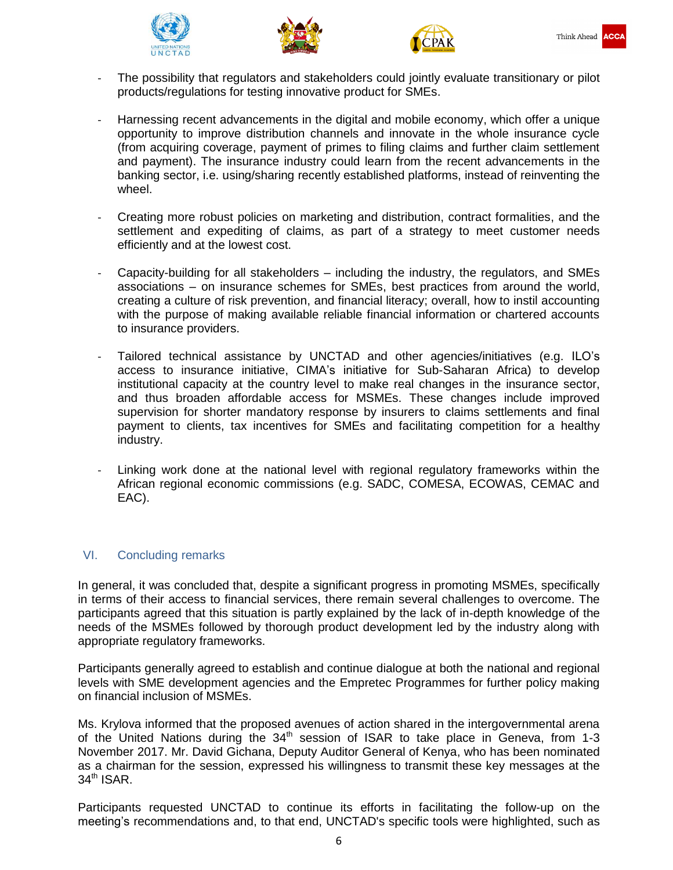





- The possibility that regulators and stakeholders could jointly evaluate transitionary or pilot products/regulations for testing innovative product for SMEs.
- Harnessing recent advancements in the digital and mobile economy, which offer a unique opportunity to improve distribution channels and innovate in the whole insurance cycle (from acquiring coverage, payment of primes to filing claims and further claim settlement and payment). The insurance industry could learn from the recent advancements in the banking sector, i.e. using/sharing recently established platforms, instead of reinventing the wheel.
- Creating more robust policies on marketing and distribution, contract formalities, and the settlement and expediting of claims, as part of a strategy to meet customer needs efficiently and at the lowest cost.
- Capacity-building for all stakeholders including the industry, the regulators, and SMEs associations – on insurance schemes for SMEs, best practices from around the world, creating a culture of risk prevention, and financial literacy; overall, how to instil accounting with the purpose of making available reliable financial information or chartered accounts to insurance providers.
- Tailored technical assistance by UNCTAD and other agencies/initiatives (e.g. ILO's access to insurance initiative, CIMA's initiative for Sub-Saharan Africa) to develop institutional capacity at the country level to make real changes in the insurance sector, and thus broaden affordable access for MSMEs. These changes include improved supervision for shorter mandatory response by insurers to claims settlements and final payment to clients, tax incentives for SMEs and facilitating competition for a healthy industry.
- Linking work done at the national level with regional regulatory frameworks within the African regional economic commissions (e.g. SADC, COMESA, ECOWAS, CEMAC and EAC).

## VI. Concluding remarks

In general, it was concluded that, despite a significant progress in promoting MSMEs, specifically in terms of their access to financial services, there remain several challenges to overcome. The participants agreed that this situation is partly explained by the lack of in-depth knowledge of the needs of the MSMEs followed by thorough product development led by the industry along with appropriate regulatory frameworks.

Participants generally agreed to establish and continue dialogue at both the national and regional levels with SME development agencies and the Empretec Programmes for further policy making on financial inclusion of MSMEs.

Ms. Krylova informed that the proposed avenues of action shared in the intergovernmental arena of the United Nations during the  $34<sup>th</sup>$  session of ISAR to take place in Geneva, from 1-3 November 2017. Mr. David Gichana, Deputy Auditor General of Kenya, who has been nominated as a chairman for the session, expressed his willingness to transmit these key messages at the  $34<sup>th</sup>$  ISAR.

Participants requested UNCTAD to continue its efforts in facilitating the follow-up on the meeting's recommendations and, to that end, UNCTAD's specific tools were highlighted, such as